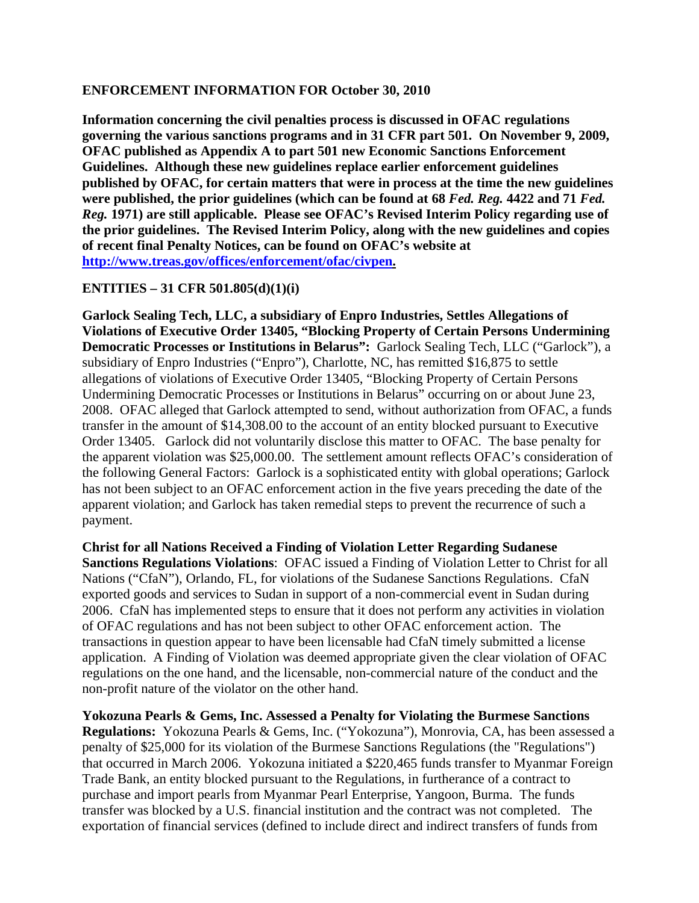## **ENFORCEMENT INFORMATION FOR October 30, 2010**

**Information concerning the civil penalties process is discussed in OFAC regulations governing the various sanctions programs and in 31 CFR part 501. On November 9, 2009, OFAC published as Appendix A to part 501 new Economic Sanctions Enforcement Guidelines. Although these new guidelines replace earlier enforcement guidelines published by OFAC, for certain matters that were in process at the time the new guidelines were published, the prior guidelines (which can be found at 68** *Fed. Reg.* **4422 and 71** *Fed. Reg.* **1971) are still applicable. Please see OFAC's Revised Interim Policy regarding use of the prior guidelines. The Revised Interim Policy, along with the new guidelines and copies of recent final Penalty Notices, can be found on OFAC's website at [http://www.treas.gov/offices/enforcement/ofac/civpen.](http://www.treas.gov/offices/enforcement/ofac/civpen)** 

## **ENTITIES – 31 CFR 501.805(d)(1)(i)**

**Garlock Sealing Tech, LLC, a subsidiary of Enpro Industries, Settles Allegations of Violations of Executive Order 13405, "Blocking Property of Certain Persons Undermining Democratic Processes or Institutions in Belarus":** Garlock Sealing Tech, LLC ("Garlock"), a subsidiary of Enpro Industries ("Enpro"), Charlotte, NC, has remitted \$16,875 to settle allegations of violations of Executive Order 13405, "Blocking Property of Certain Persons Undermining Democratic Processes or Institutions in Belarus" occurring on or about June 23, 2008. OFAC alleged that Garlock attempted to send, without authorization from OFAC, a funds transfer in the amount of \$14,308.00 to the account of an entity blocked pursuant to Executive Order 13405. Garlock did not voluntarily disclose this matter to OFAC. The base penalty for the apparent violation was \$25,000.00. The settlement amount reflects OFAC's consideration of the following General Factors: Garlock is a sophisticated entity with global operations; Garlock has not been subject to an OFAC enforcement action in the five years preceding the date of the apparent violation; and Garlock has taken remedial steps to prevent the recurrence of such a payment.

**Christ for all Nations Received a Finding of Violation Letter Regarding Sudanese Sanctions Regulations Violations**: OFAC issued a Finding of Violation Letter to Christ for all Nations ("CfaN"), Orlando, FL, for violations of the Sudanese Sanctions Regulations. CfaN exported goods and services to Sudan in support of a non-commercial event in Sudan during 2006. CfaN has implemented steps to ensure that it does not perform any activities in violation of OFAC regulations and has not been subject to other OFAC enforcement action. The transactions in question appear to have been licensable had CfaN timely submitted a license application. A Finding of Violation was deemed appropriate given the clear violation of OFAC regulations on the one hand, and the licensable, non-commercial nature of the conduct and the non-profit nature of the violator on the other hand.

**Yokozuna Pearls & Gems, Inc. Assessed a Penalty for Violating the Burmese Sanctions Regulations:** Yokozuna Pearls & Gems, Inc. ("Yokozuna"), Monrovia, CA, has been assessed a penalty of \$25,000 for its violation of the Burmese Sanctions Regulations (the "Regulations") that occurred in March 2006. Yokozuna initiated a \$220,465 funds transfer to Myanmar Foreign Trade Bank, an entity blocked pursuant to the Regulations, in furtherance of a contract to purchase and import pearls from Myanmar Pearl Enterprise, Yangoon, Burma. The funds transfer was blocked by a U.S. financial institution and the contract was not completed. The exportation of financial services (defined to include direct and indirect transfers of funds from